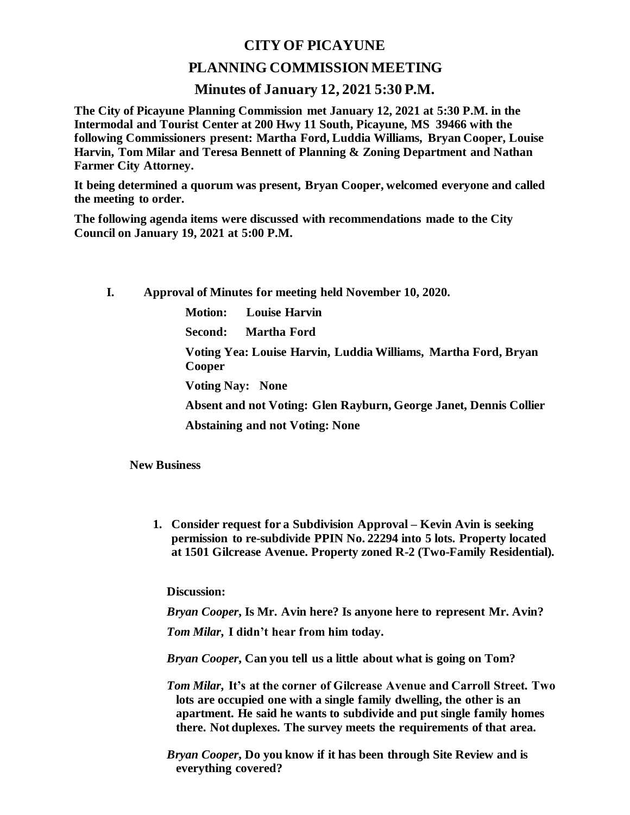## **CITY OF PICAYUNE**

## **PLANNING COMMISSION MEETING**

## **Minutes of January 12, 2021 5:30 P.M.**

**The City of Picayune Planning Commission met January 12, 2021 at 5:30 P.M. in the Intermodal and Tourist Center at 200 Hwy 11 South, Picayune, MS 39466 with the following Commissioners present: Martha Ford, Luddia Williams, Bryan Cooper, Louise Harvin, Tom Milar and Teresa Bennett of Planning & Zoning Department and Nathan Farmer City Attorney.**

**It being determined a quorum was present, Bryan Cooper, welcomed everyone and called the meeting to order.**

**The following agenda items were discussed with recommendations made to the City Council on January 19, 2021 at 5:00 P.M.** 

- **I. Approval of Minutes for meeting held November 10, 2020.**
	- **Motion: Louise Harvin**

**Second: Martha Ford**

**Voting Yea: Louise Harvin, Luddia Williams, Martha Ford, Bryan Cooper**

**Voting Nay: None**

**Absent and not Voting: Glen Rayburn, George Janet, Dennis Collier**

**Abstaining and not Voting: None**

**New Business**

**1. Consider request for a Subdivision Approval – Kevin Avin is seeking permission to re-subdivide PPIN No. 22294 into 5 lots. Property located at 1501 Gilcrease Avenue. Property zoned R-2 (Two-Family Residential).**

**Discussion:**

*Bryan Cooper***, Is Mr. Avin here? Is anyone here to represent Mr. Avin?**

*Tom Milar***, I didn't hear from him today.**

*Bryan Cooper***, Can you tell us a little about what is going on Tom?**

- *Tom Milar***, It's at the corner of Gilcrease Avenue and Carroll Street. Two lots are occupied one with a single family dwelling, the other is an apartment. He said he wants to subdivide and put single family homes there. Not duplexes. The survey meets the requirements of that area.**
- *Bryan Cooper***, Do you know if it has been through Site Review and is everything covered?**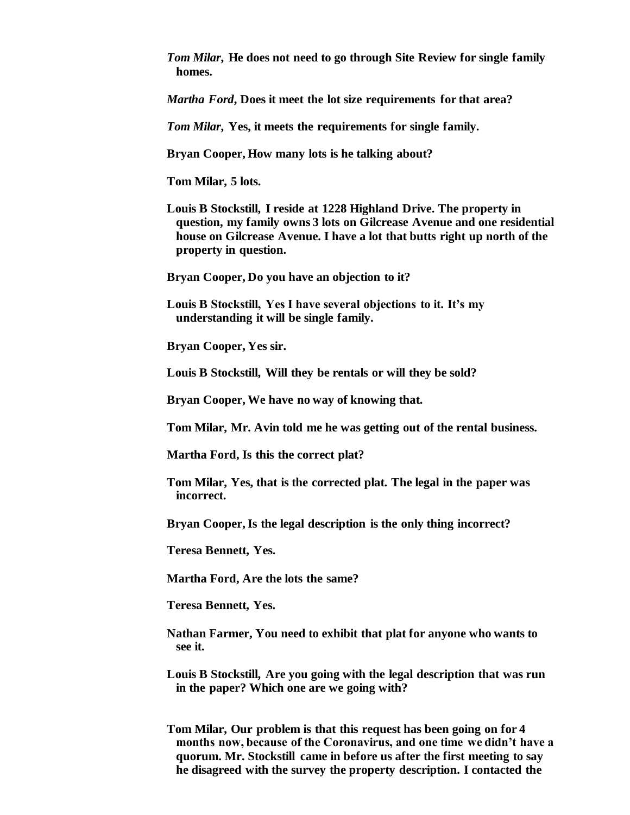*Tom Milar***, He does not need to go through Site Review for single family homes.**

*Martha Ford***, Does it meet the lot size requirements for that area?**

*Tom Milar***, Yes, it meets the requirements for single family.**

**Bryan Cooper, How many lots is he talking about?**

**Tom Milar, 5 lots.**

**Louis B Stockstill, I reside at 1228 Highland Drive. The property in question, my family owns 3 lots on Gilcrease Avenue and one residential house on Gilcrease Avenue. I have a lot that butts right up north of the property in question.**

**Bryan Cooper, Do you have an objection to it?**

**Louis B Stockstill, Yes I have several objections to it. It's my understanding it will be single family.**

**Bryan Cooper, Yes sir.**

**Louis B Stockstill, Will they be rentals or will they be sold?**

**Bryan Cooper, We have no way of knowing that.**

**Tom Milar, Mr. Avin told me he was getting out of the rental business.**

**Martha Ford, Is this the correct plat?**

**Tom Milar, Yes, that is the corrected plat. The legal in the paper was incorrect.**

**Bryan Cooper, Is the legal description is the only thing incorrect?**

**Teresa Bennett, Yes.**

**Martha Ford, Are the lots the same?**

**Teresa Bennett, Yes.**

- **Nathan Farmer, You need to exhibit that plat for anyone who wants to see it.**
- **Louis B Stockstill, Are you going with the legal description that was run in the paper? Which one are we going with?**
- **Tom Milar, Our problem is that this request has been going on for 4 months now, because of the Coronavirus, and one time we didn't have a quorum. Mr. Stockstill came in before us after the first meeting to say he disagreed with the survey the property description. I contacted the**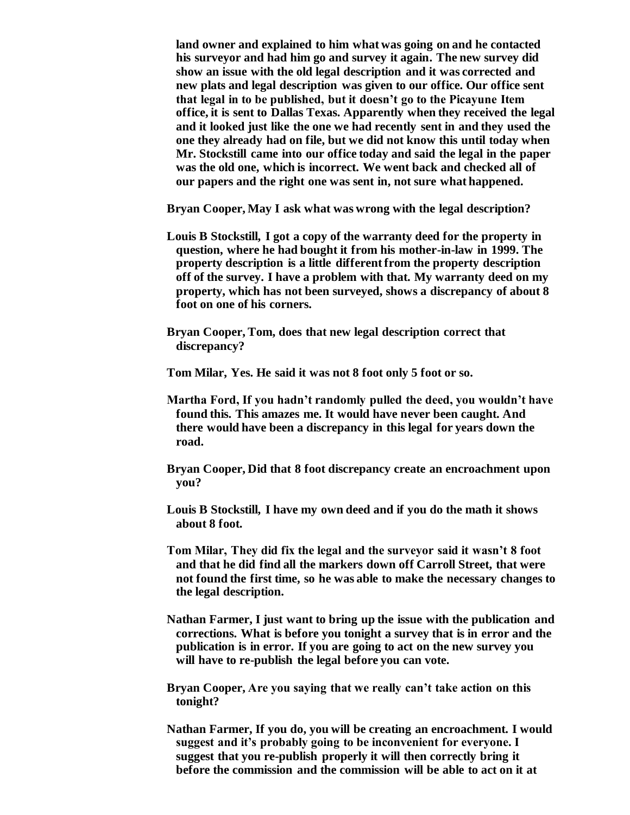**land owner and explained to him what was going on and he contacted his surveyor and had him go and survey it again. The new survey did show an issue with the old legal description and it was corrected and new plats and legal description was given to our office. Our office sent that legal in to be published, but it doesn't go to the Picayune Item office, it is sent to Dallas Texas. Apparently when they received the legal and it looked just like the one we had recently sent in and they used the one they already had on file, but we did not know this until today when Mr. Stockstill came into our office today and said the legal in the paper was the old one, which is incorrect. We went back and checked all of our papers and the right one was sent in, not sure what happened.**

**Bryan Cooper, May I ask what was wrong with the legal description?**

- **Louis B Stockstill, I got a copy of the warranty deed for the property in question, where he had bought it from his mother-in-law in 1999. The property description is a little different from the property description off of the survey. I have a problem with that. My warranty deed on my property, which has not been surveyed, shows a discrepancy of about 8 foot on one of his corners.**
- **Bryan Cooper, Tom, does that new legal description correct that discrepancy?**

**Tom Milar, Yes. He said it was not 8 foot only 5 foot or so.**

- **Martha Ford, If you hadn't randomly pulled the deed, you wouldn't have found this. This amazes me. It would have never been caught. And there would have been a discrepancy in this legal for years down the road.**
- **Bryan Cooper, Did that 8 foot discrepancy create an encroachment upon you?**
- **Louis B Stockstill, I have my own deed and if you do the math it shows about 8 foot.**
- **Tom Milar, They did fix the legal and the surveyor said it wasn't 8 foot and that he did find all the markers down off Carroll Street, that were not found the first time, so he was able to make the necessary changes to the legal description.**
- **Nathan Farmer, I just want to bring up the issue with the publication and corrections. What is before you tonight a survey that is in error and the publication is in error. If you are going to act on the new survey you will have to re-publish the legal before you can vote.**
- **Bryan Cooper, Are you saying that we really can't take action on this tonight?**
- **Nathan Farmer, If you do, you will be creating an encroachment. I would suggest and it's probably going to be inconvenient for everyone. I suggest that you re-publish properly it will then correctly bring it before the commission and the commission will be able to act on it at**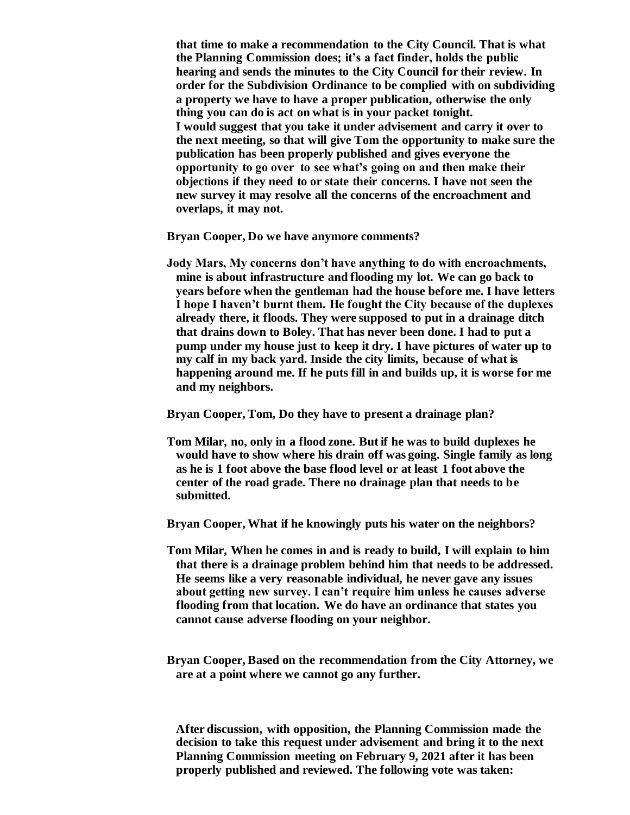**that time to make a recommendation to the City Council. That is what the Planning Commission does; it's a fact finder, holds the public hearing and sends the minutes to the City Council for their review. In order for the Subdivision Ordinance to be complied with on subdividing a property we have to have a proper publication, otherwise the only thing you can do is act on what is in your packet tonight. I would suggest that you take it under advisement and carry it over to the next meeting, so that will give Tom the opportunity to make sure the publication has been properly published and gives everyone the opportunity to go over to see what's going on and then make their objections if they need to or state their concerns. I have not seen the new survey it may resolve all the concerns of the encroachment and overlaps, it may not.**

**Bryan Cooper, Do we have anymore comments?**

**Jody Mars, My concerns don't have anything to do with encroachments, mine is about infrastructure and flooding my lot. We can go back to years before when the gentleman had the house before me. I have letters I hope I haven't burnt them. He fought the City because of the duplexes already there, it floods. They were supposed to put in a drainage ditch that drains down to Boley. That has never been done. I had to put a pump under my house just to keep it dry. I have pictures of water up to my calf in my back yard. Inside the city limits, because of what is happening around me. If he puts fill in and builds up, it is worse for me and my neighbors.**

**Bryan Cooper, Tom, Do they have to present a drainage plan?**

**Tom Milar, no, only in a flood zone. But if he was to build duplexes he would have to show where his drain off was going. Single family as long as he is 1 foot above the base flood level or at least 1 foot above the center of the road grade. There no drainage plan that needs to be submitted.**

**Bryan Cooper, What if he knowingly puts his water on the neighbors?**

- **Tom Milar, When he comes in and is ready to build, I will explain to him that there is a drainage problem behind him that needs to be addressed. He seems like a very reasonable individual, he never gave any issues about getting new survey. I can't require him unless he causes adverse flooding from that location. We do have an ordinance that states you cannot cause adverse flooding on your neighbor.**
- **Bryan Cooper, Based on the recommendation from the City Attorney, we are at a point where we cannot go any further.**

**After discussion, with opposition, the Planning Commission made the decision to take this request under advisement and bring it to the next Planning Commission meeting on February 9, 2021 after it has been properly published and reviewed. The following vote was taken:**